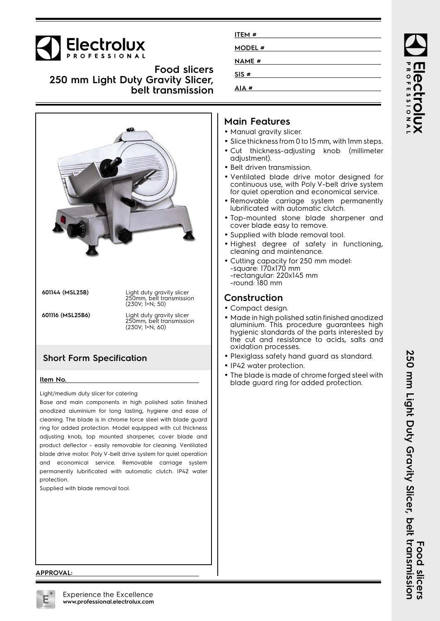# **Electrolux**

**Food slicers 250 mm Light Duty Gravity Slicer, belt transmission**



**601144 (MSL25B)** Light duty gravity slicer 250mm, belt transmission

(230V; 1+N; 50) **601116 (MSL25B6)** Light duty gravity slicer 250mm, belt transmission (230V; 1+N; 60)

# **Short Form Specification**

#### **Item No.**

Light/medium duty slicer for catering

Base and main components in high polished satin finished anodized aluminium for long lasting, hygiene and ease of cleaning. The blade is in chrome force steel with blade guard ring for added protection. Model equipped with cut thickness adjusting knob, top mounted sharpener, cover blade and product deflector - easily removable for cleaning. Ventilated blade drive motor. Poly V-belt drive system for quiet operation and economical service. Removable carriage system permanently lubrificated with automatic clutch. IP42 water protection.

Supplied with blade removal tool.

| ITEM #       |  |
|--------------|--|
| MODEL #      |  |
| <b>NAME#</b> |  |
| SIS#         |  |
| AIA#         |  |

# **Main Features**

- Manual gravity slicer.
- Slice thickness from 0 to 15 mm, with 1mm steps.
- Cut thickness-adjusting knob (millimeter adjustment).
- Belt driven transmission.
- • Ventilated blade drive motor designed for continuous use, with Poly V-belt drive system for quiet operation and economical service.
- Removable carriage system permanently lubrificated with automatic clutch.
- Top-mounted stone blade sharpener and cover blade easy to remove.
- Supplied with blade removal tool.
- Highest degree of safety in functioning, cleaning and maintenance.
- Cutting capacity for 250 mm model: -square: 170x170 mm -rectangular: 220x145 mm -round: 180 mm

## **Construction**

- Compact design.
- Made in high polished satin finished anodized aluminium. This procedure guarantees high hygienic standards of the parts interested by the cut and resistance to acids, salts and oxidation processes.
- Plexiglass safety hand guard as standard.
- IP42 water protection.
- • The blade is made of chrome forged steel with blade guard ring for added protection.

ROFESSIONA

#### **APPROVAL:**